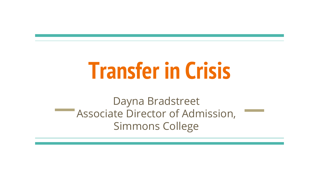# **Transfer in Crisis**

Dayna Bradstreet Associate Director of Admission, Simmons College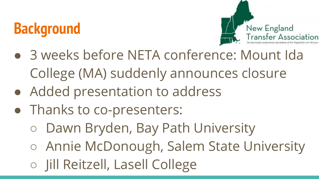# **Background**



- 3 weeks before NETA conference: Mount Ida College (MA) suddenly announces closure
- Added presentation to address
- Thanks to co-presenters:
	- Dawn Bryden, Bay Path University
	- Annie McDonough, Salem State University
	- Jill Reitzell, Lasell College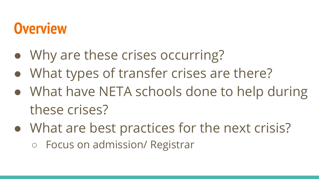### **Overview**

- Why are these crises occurring?
- What types of transfer crises are there?
- What have NETA schools done to help during these crises?
- What are best practices for the next crisis?
	- Focus on admission/ Registrar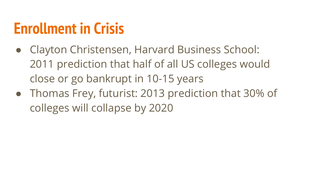### **Enrollment in Crisis**

- Clayton Christensen, Harvard Business School: 2011 prediction that half of all US colleges would close or go bankrupt in 10-15 years
- Thomas Frey, futurist: 2013 prediction that 30% of colleges will collapse by 2020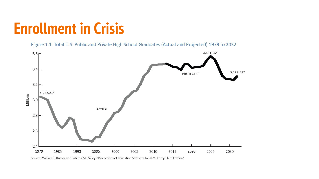#### **Enrollment in Crisis**

Figure 1.1. Total U.S. Public and Private High School Graduates (Actual and Projected) 1979 to 2032



Source: William J. Hussar and Tabitha M. Bailey. "Projections of Education Statistics to 2024: Forty-Third Edition."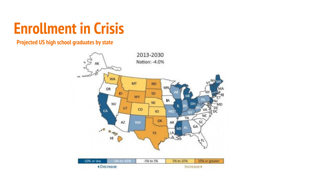#### **Enrollment in Crisis**

#### **Projected US high school graduates by state**

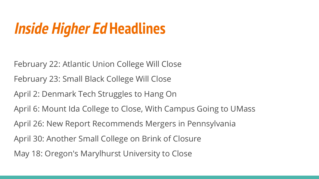# **Inside Higher Ed Headlines**

February 22: Atlantic Union College Will Close February 23: Small Black College Will Close April 2: Denmark Tech Struggles to Hang On April 6: Mount Ida College to Close, With Campus Going to UMass April 26: New Report Recommends Mergers in Pennsylvania April 30: Another Small College on Brink of Closure May 18: Oregon's Marylhurst University to Close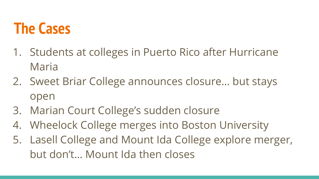#### **The Cases**

- 1. Students at colleges in Puerto Rico after Hurricane Maria
- 2. Sweet Briar College announces closure… but stays open
- 3. Marian Court College's sudden closure
- 4. Wheelock College merges into Boston University
- 5. Lasell College and Mount Ida College explore merger, but don't… Mount Ida then closes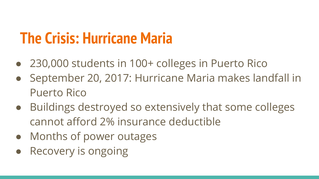### **The Crisis: Hurricane Maria**

- 230,000 students in 100+ colleges in Puerto Rico
- September 20, 2017: Hurricane Maria makes landfall in Puerto Rico
- Buildings destroyed so extensively that some colleges cannot afford 2% insurance deductible
- Months of power outages
- **Recovery is ongoing**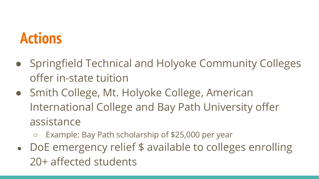### **Actions**

- Springfield Technical and Holyoke Community Colleges offer in-state tuition
- Smith College, Mt. Holyoke College, American International College and Bay Path University offer assistance
	- Example: Bay Path scholarship of \$25,000 per year
- DoE emergency relief \$ available to colleges enrolling 20+ affected students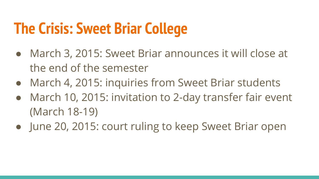### **The Crisis: Sweet Briar College**

- March 3, 2015: Sweet Briar announces it will close at the end of the semester
- March 4, 2015: inquiries from Sweet Briar students
- March 10, 2015: invitation to 2-day transfer fair event (March 18-19)
- June 20, 2015: court ruling to keep Sweet Briar open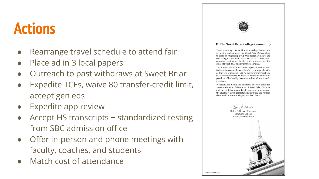#### **Actions**

- Rearrange travel schedule to attend fair
- Place ad in 3 local papers
- Outreach to past withdraws at Sweet Briar
- Expedite TCEs, waive 80 transfer-credit limit, accept gen eds
- Expedite app review
- Accept HS transcripts + standardized testing from SBC admission office
- Offer in-person and phone meetings with faculty, coaches, and students
- **Match cost of attendance**



#### To The Sweet Briar College Community

Three weeks ago, we at Simmons College learned the surprising and sad news that Sweet Briar College plans to close on August 25, 2015. Our hearts are heavy and our thoughts are with everyone in the Sweet Briar community-students, faculty, staff, alumnae, and the cities of Sweet Briar and Lynchburg, Virginia.

The mission of Sweet Briar is as important and relevant today as it was more than one hundred years ago when the college was founded in 1901. As a sister women's college, we believe our collective work in preparing women for positions of leadership in communities and in the world is critical.

We salute and honor the traditions of Sweet Briar, the accomplishments of thousands of Sweet Briar alumnae, and the contributions of faculty and staff who support the dreams of Sweet Briar students to "build and reshape their world however their passions lead them."

www.simmons.edu

Helen G. Drinan, President Simmons College Boston, Massachusetts

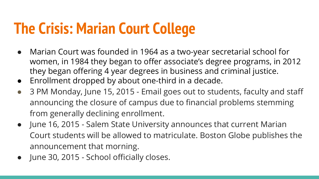# **The Crisis: Marian Court College**

- Marian Court was founded in 1964 as a two-year secretarial school for women, in 1984 they began to offer associate's degree programs, in 2012 they began offering 4 year degrees in business and criminal justice.
- Enrollment dropped by about one-third in a decade.
- 3 PM Monday, June 15, 2015 Email goes out to students, faculty and staff announcing the closure of campus due to financial problems stemming from generally declining enrollment.
- June 16, 2015 Salem State University announces that current Marian Court students will be allowed to matriculate. Boston Globe publishes the announcement that morning.
- June 30, 2015 School officially closes.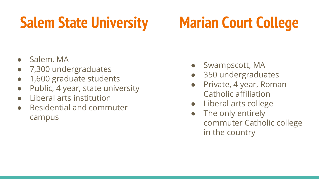# **Salem State University Marian Court College**

- Salem, MA
- 7,300 undergraduates
- 1,600 graduate students
- Public, 4 year, state university
- Liberal arts institution
- Residential and commuter campus
- Swampscott, MA
- 350 undergraduates
- Private, 4 year, Roman Catholic affiliation
- Liberal arts college
- The only entirely commuter Catholic college in the country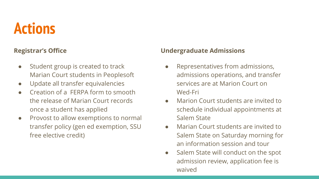### **Actions**

#### **Registrar's Office**

- Student group is created to track Marian Court students in Peoplesoft
- Update all transfer equivalencies
- Creation of a FERPA form to smooth the release of Marian Court records once a student has applied
- Provost to allow exemptions to normal transfer policy (gen ed exemption, SSU free elective credit)

#### **Undergraduate Admissions**

- Representatives from admissions, admissions operations, and transfer services are at Marion Court on Wed-Fri
- Marion Court students are invited to schedule individual appointments at Salem State
- Marian Court students are invited to Salem State on Saturday morning for an information session and tour
- Salem State will conduct on the spot admission review, application fee is waived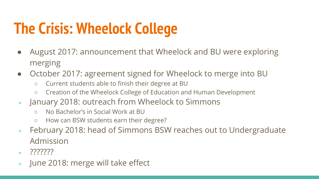# **The Crisis: Wheelock College**

- August 2017: announcement that Wheelock and BU were exploring merging
- October 2017: agreement signed for Wheelock to merge into BU
	- Current students able to finish their degree at BU
	- Creation of the Wheelock College of Education and Human Development
- January 2018: outreach from Wheelock to Simmons
	- No Bachelor's in Social Work at BU
	- How can BSW students earn their degree?
- February 2018: head of Simmons BSW reaches out to Undergraduate Admission
- ???????
- June 2018: merge will take effect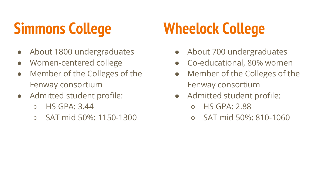# **Simmons College**

- About 1800 undergraduates
- Women-centered college
- Member of the Colleges of the Fenway consortium
- Admitted student profile:
	- $\circ$  HS GPA: 3.44
	- SAT mid 50%: 1150-1300

# **Wheelock College**

- About 700 undergraduates
- Co-educational, 80% women
- Member of the Colleges of the Fenway consortium
- Admitted student profile:
	- HS GPA: 2.88
	- SAT mid 50%: 810-1060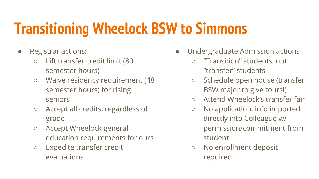# **Transitioning Wheelock BSW to Simmons**

- Registrar actions:
	- Lift transfer credit limit (80 semester hours)
	- Waive residency requirement (48 semester hours) for rising seniors
	- Accept all credits, regardless of grade
	- Accept Wheelock general education requirements for ours
	- Expedite transfer credit evaluations
- Undergraduate Admission actions
	- "Transition" students, not "transfer" students
	- Schedule open house (transfer BSW major to give tours!)
	- Attend Wheelock's transfer fair
	- No application, info imported directly into Colleague w/ permission/commitment from student
	- No enrollment deposit required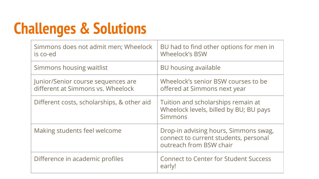# **Challenges & Solutions**

| Simmons does not admit men; Wheelock<br>is co-ed                        | BU had to find other options for men in<br><b>Wheelock's BSW</b>                                          |
|-------------------------------------------------------------------------|-----------------------------------------------------------------------------------------------------------|
| Simmons housing waitlist                                                | BU housing available                                                                                      |
| Junior/Senior course sequences are<br>different at Simmons vs. Wheelock | Wheelock's senior BSW courses to be<br>offered at Simmons next year                                       |
| Different costs, scholarships, & other aid                              | Tuition and scholarships remain at<br>Wheelock levels, billed by BU; BU pays<br><b>Simmons</b>            |
| Making students feel welcome                                            | Drop-in advising hours, Simmons swag,<br>connect to current students, personal<br>outreach from BSW chair |
| Difference in academic profiles                                         | <b>Connect to Center for Student Success</b><br>early!                                                    |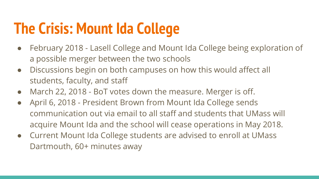# **The Crisis: Mount Ida College**

- February 2018 Lasell College and Mount Ida College being exploration of a possible merger between the two schools
- Discussions begin on both campuses on how this would affect all students, faculty, and staff
- March 22, 2018 BoT votes down the measure. Merger is off.
- April 6, 2018 President Brown from Mount Ida College sends communication out via email to all staff and students that UMass will acquire Mount Ida and the school will cease operations in May 2018.
- Current Mount Ida College students are advised to enroll at UMass Dartmouth, 60+ minutes away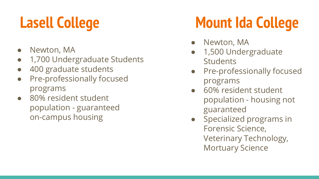- Newton, MA
- 1,700 Undergraduate Students
- 400 graduate students
- Pre-professionally focused programs
- 80% resident student population - guaranteed on-campus housing

# **Lasell College Mount Ida College**

- Newton, MA
- 1,500 Undergraduate **Students**
- Pre-professionally focused programs
- 60% resident student population - housing not guaranteed
- Specialized programs in Forensic Science, Veterinary Technology, Mortuary Science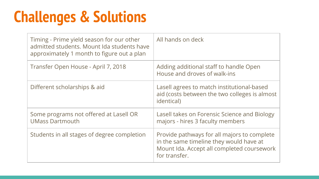# **Challenges & Solutions**

| Timing - Prime yield season for our other<br>admitted students. Mount Ida students have<br>approximately 1 month to figure out a plan | All hands on deck                                                                                                                                     |
|---------------------------------------------------------------------------------------------------------------------------------------|-------------------------------------------------------------------------------------------------------------------------------------------------------|
| Transfer Open House - April 7, 2018                                                                                                   | Adding additional staff to handle Open<br>House and droves of walk-ins                                                                                |
| Different scholarships & aid                                                                                                          | Lasell agrees to match institutional-based<br>aid (costs between the two colleges is almost<br><i>identical</i> )                                     |
| Some programs not offered at Lasell OR<br><b>UMass Dartmouth</b>                                                                      | Lasell takes on Forensic Science and Biology<br>majors - hires 3 faculty members                                                                      |
| Students in all stages of degree completion                                                                                           | Provide pathways for all majors to complete<br>in the same timeline they would have at<br>Mount Ida. Accept all completed coursework<br>for transfer. |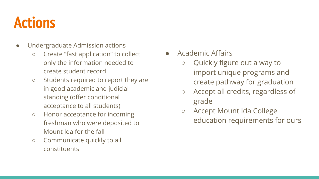### **Actions**

- Undergraduate Admission actions
	- Create "fast application" to collect only the information needed to create student record
	- Students required to report they are in good academic and judicial standing (offer conditional acceptance to all students)
	- Honor acceptance for incoming freshman who were deposited to Mount Ida for the fall
	- Communicate quickly to all constituents
- Academic Affairs
	- Quickly figure out a way to import unique programs and create pathway for graduation
	- Accept all credits, regardless of grade
	- Accept Mount Ida College education requirements for ours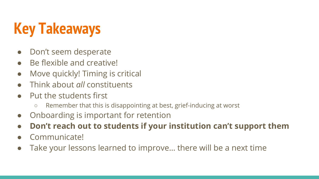# **Key Takeaways**

- Don't seem desperate
- Be flexible and creative!
- Move quickly! Timing is critical
- Think about *all* constituents
- Put the students first
	- Remember that this is disappointing at best, grief-inducing at worst
- Onboarding is important for retention
- **● Don't reach out to students if your institution can't support them**
- Communicate!
- Take your lessons learned to improve... there will be a next time